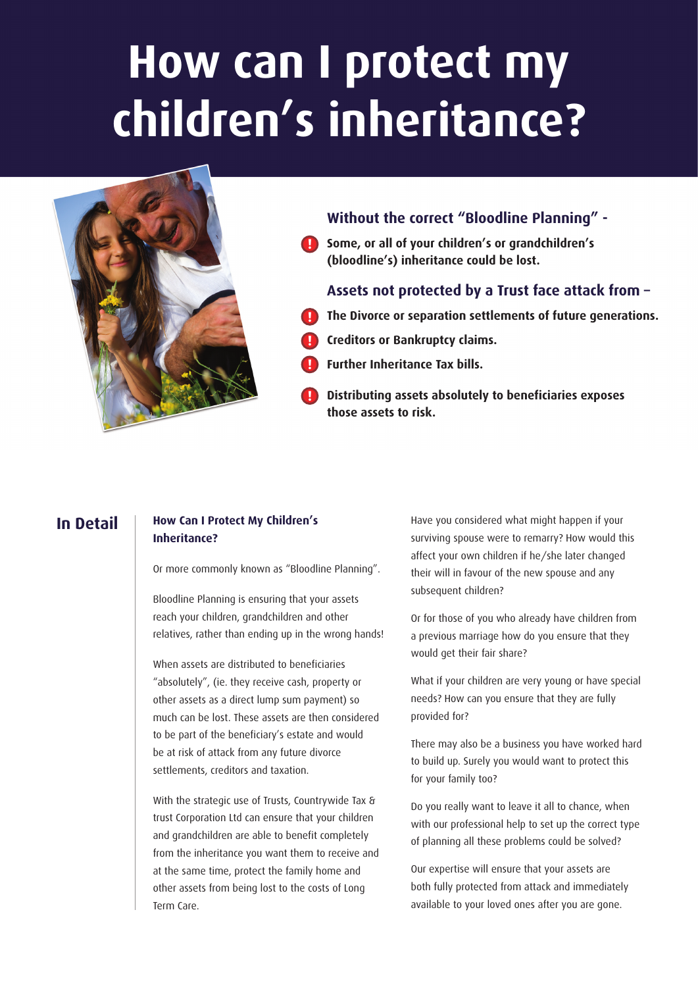# **How can I protect my children's inheritance?**



# **Without the correct "Bloodline Planning" -**

**Some, or all of your children's or grandchildren's ! (bloodline's) inheritance could be lost.**

## **Assets not protected by a Trust face attack from –**

- **The Divorce or separation settlements of future generations. !**
- **Creditors or Bankruptcy claims. !**
- **Further Inheritance Tax bills. !**
- **Distributing assets absolutely to beneficiaries exposes those assets to risk. !**

# **In Detail**

## **How Can I Protect My Children's Inheritance?**

Or more commonly known as "Bloodline Planning".

Bloodline Planning is ensuring that your assets reach your children, grandchildren and other relatives, rather than ending up in the wrong hands!

When assets are distributed to beneficiaries "absolutely", (ie. they receive cash, property or other assets as a direct lump sum payment) so much can be lost. These assets are then considered to be part of the beneficiary's estate and would be at risk of attack from any future divorce settlements, creditors and taxation.

With the strategic use of Trusts, Countrywide Tax & trust Corporation Ltd can ensure that your children and grandchildren are able to benefit completely from the inheritance you want them to receive and at the same time, protect the family home and other assets from being lost to the costs of Long Term Care.

Have you considered what might happen if your surviving spouse were to remarry? How would this affect your own children if he/she later changed their will in favour of the new spouse and any subsequent children?

Or for those of you who already have children from a previous marriage how do you ensure that they would get their fair share?

What if your children are very young or have special needs? How can you ensure that they are fully provided for?

There may also be a business you have worked hard to build up. Surely you would want to protect this for your family too?

Do you really want to leave it all to chance, when with our professional help to set up the correct type of planning all these problems could be solved?

Our expertise will ensure that your assets are both fully protected from attack and immediately available to your loved ones after you are gone.